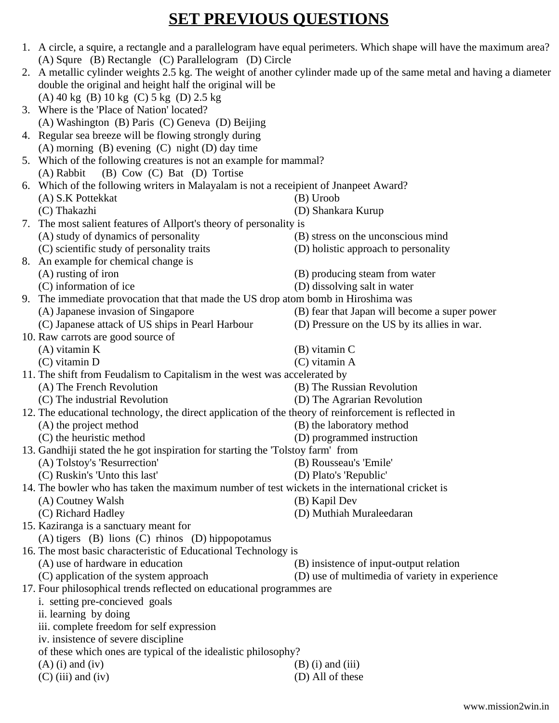## **SET PREVIOUS QUESTIONS**

|  | (A) Squre (B) Rectangle (C) Parallelogram (D) Circle                                                                                                                              | 1. A circle, a squire, a rectangle and a parallelogram have equal perimeters. Which shape will have the maximum area? |  |  |  |  |  |  |  |  |  |  |  |
|--|-----------------------------------------------------------------------------------------------------------------------------------------------------------------------------------|-----------------------------------------------------------------------------------------------------------------------|--|--|--|--|--|--|--|--|--|--|--|
|  |                                                                                                                                                                                   |                                                                                                                       |  |  |  |  |  |  |  |  |  |  |  |
|  | 2. A metallic cylinder weights 2.5 kg. The weight of another cylinder made up of the same metal and having a diameter<br>double the original and height half the original will be |                                                                                                                       |  |  |  |  |  |  |  |  |  |  |  |
|  | (A) 40 kg (B) 10 kg (C) 5 kg (D) 2.5 kg                                                                                                                                           |                                                                                                                       |  |  |  |  |  |  |  |  |  |  |  |
|  | 3. Where is the 'Place of Nation' located?                                                                                                                                        |                                                                                                                       |  |  |  |  |  |  |  |  |  |  |  |
|  | (A) Washington (B) Paris (C) Geneva (D) Beijing                                                                                                                                   |                                                                                                                       |  |  |  |  |  |  |  |  |  |  |  |
|  | 4. Regular sea breeze will be flowing strongly during                                                                                                                             |                                                                                                                       |  |  |  |  |  |  |  |  |  |  |  |
|  | $(A)$ morning $(B)$ evening $(C)$ night $(D)$ day time                                                                                                                            |                                                                                                                       |  |  |  |  |  |  |  |  |  |  |  |
|  | 5. Which of the following creatures is not an example for mammal?                                                                                                                 |                                                                                                                       |  |  |  |  |  |  |  |  |  |  |  |
|  | (B) Cow (C) Bat (D) Tortise<br>(A) Rabbit                                                                                                                                         |                                                                                                                       |  |  |  |  |  |  |  |  |  |  |  |
|  | 6. Which of the following writers in Malayalam is not a receipient of Jnanpeet Award?                                                                                             |                                                                                                                       |  |  |  |  |  |  |  |  |  |  |  |
|  | (A) S.K Pottekkat                                                                                                                                                                 | (B) Uroob                                                                                                             |  |  |  |  |  |  |  |  |  |  |  |
|  | (C) Thakazhi                                                                                                                                                                      | (D) Shankara Kurup                                                                                                    |  |  |  |  |  |  |  |  |  |  |  |
|  | 7. The most salient features of Allport's theory of personality is                                                                                                                |                                                                                                                       |  |  |  |  |  |  |  |  |  |  |  |
|  | (A) study of dynamics of personality                                                                                                                                              | (B) stress on the unconscious mind                                                                                    |  |  |  |  |  |  |  |  |  |  |  |
|  | (C) scientific study of personality traits                                                                                                                                        | (D) holistic approach to personality                                                                                  |  |  |  |  |  |  |  |  |  |  |  |
|  |                                                                                                                                                                                   |                                                                                                                       |  |  |  |  |  |  |  |  |  |  |  |
|  | 8. An example for chemical change is<br>(B) producing steam from water                                                                                                            |                                                                                                                       |  |  |  |  |  |  |  |  |  |  |  |
|  | (A) rusting of iron<br>(C) information of ice                                                                                                                                     |                                                                                                                       |  |  |  |  |  |  |  |  |  |  |  |
|  |                                                                                                                                                                                   | (D) dissolving salt in water                                                                                          |  |  |  |  |  |  |  |  |  |  |  |
|  | 9. The immediate provocation that that made the US drop atom bomb in Hiroshima was                                                                                                |                                                                                                                       |  |  |  |  |  |  |  |  |  |  |  |
|  | (A) Japanese invasion of Singapore                                                                                                                                                | (B) fear that Japan will become a super power                                                                         |  |  |  |  |  |  |  |  |  |  |  |
|  | (C) Japanese attack of US ships in Pearl Harbour                                                                                                                                  | (D) Pressure on the US by its allies in war.                                                                          |  |  |  |  |  |  |  |  |  |  |  |
|  | 10. Raw carrots are good source of                                                                                                                                                |                                                                                                                       |  |  |  |  |  |  |  |  |  |  |  |
|  | $(A)$ vitamin K                                                                                                                                                                   | (B) vitamin C                                                                                                         |  |  |  |  |  |  |  |  |  |  |  |
|  | $(C)$ vitamin D                                                                                                                                                                   | $(C)$ vitamin A                                                                                                       |  |  |  |  |  |  |  |  |  |  |  |
|  | 11. The shift from Feudalism to Capitalism in the west was accelerated by                                                                                                         |                                                                                                                       |  |  |  |  |  |  |  |  |  |  |  |
|  | (A) The French Revolution                                                                                                                                                         | (B) The Russian Revolution                                                                                            |  |  |  |  |  |  |  |  |  |  |  |
|  | (C) The industrial Revolution<br>(D) The Agrarian Revolution                                                                                                                      |                                                                                                                       |  |  |  |  |  |  |  |  |  |  |  |
|  | 12. The educational technology, the direct application of the theory of reinforcement is reflected in                                                                             |                                                                                                                       |  |  |  |  |  |  |  |  |  |  |  |
|  | (A) the project method                                                                                                                                                            | (B) the laboratory method                                                                                             |  |  |  |  |  |  |  |  |  |  |  |
|  | (C) the heuristic method<br>(D) programmed instruction                                                                                                                            |                                                                                                                       |  |  |  |  |  |  |  |  |  |  |  |
|  | 13. Gandhiji stated the he got inspiration for starting the 'Tolstoy farm' from                                                                                                   |                                                                                                                       |  |  |  |  |  |  |  |  |  |  |  |
|  | (A) Tolstoy's 'Resurrection'                                                                                                                                                      | (B) Rousseau's 'Emile'                                                                                                |  |  |  |  |  |  |  |  |  |  |  |
|  | (C) Ruskin's 'Unto this last'                                                                                                                                                     | (D) Plato's 'Republic'                                                                                                |  |  |  |  |  |  |  |  |  |  |  |
|  | 14. The bowler who has taken the maximum number of test wickets in the international cricket is                                                                                   |                                                                                                                       |  |  |  |  |  |  |  |  |  |  |  |
|  | (A) Coutney Walsh                                                                                                                                                                 | (B) Kapil Dev                                                                                                         |  |  |  |  |  |  |  |  |  |  |  |
|  | (C) Richard Hadley                                                                                                                                                                | (D) Muthiah Muraleedaran                                                                                              |  |  |  |  |  |  |  |  |  |  |  |
|  | 15. Kaziranga is a sanctuary meant for                                                                                                                                            |                                                                                                                       |  |  |  |  |  |  |  |  |  |  |  |
|  | (A) tigers (B) lions (C) rhinos (D) hippopotamus                                                                                                                                  |                                                                                                                       |  |  |  |  |  |  |  |  |  |  |  |
|  | 16. The most basic characteristic of Educational Technology is                                                                                                                    |                                                                                                                       |  |  |  |  |  |  |  |  |  |  |  |
|  | (A) use of hardware in education                                                                                                                                                  | (B) insistence of input-output relation                                                                               |  |  |  |  |  |  |  |  |  |  |  |
|  | (C) application of the system approach                                                                                                                                            | (D) use of multimedia of variety in experience                                                                        |  |  |  |  |  |  |  |  |  |  |  |
|  | 17. Four philosophical trends reflected on educational programmes are                                                                                                             |                                                                                                                       |  |  |  |  |  |  |  |  |  |  |  |
|  | i. setting pre-concieved goals                                                                                                                                                    |                                                                                                                       |  |  |  |  |  |  |  |  |  |  |  |
|  | ii. learning by doing                                                                                                                                                             |                                                                                                                       |  |  |  |  |  |  |  |  |  |  |  |
|  | iii. complete freedom for self expression                                                                                                                                         |                                                                                                                       |  |  |  |  |  |  |  |  |  |  |  |
|  | iv. insistence of severe discipline                                                                                                                                               |                                                                                                                       |  |  |  |  |  |  |  |  |  |  |  |
|  | of these which ones are typical of the idealistic philosophy?                                                                                                                     |                                                                                                                       |  |  |  |  |  |  |  |  |  |  |  |
|  | $(A)$ (i) and (iv)                                                                                                                                                                | $(B)$ (i) and (iii)                                                                                                   |  |  |  |  |  |  |  |  |  |  |  |
|  | $(C)$ (iii) and (iv)                                                                                                                                                              | (D) All of these                                                                                                      |  |  |  |  |  |  |  |  |  |  |  |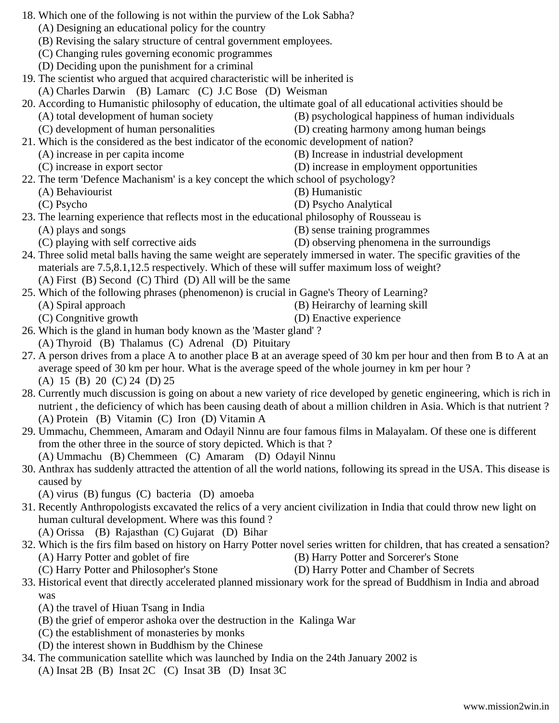- 18. Which one of the following is not within the purview of the Lok Sabha? (A) Designing an educational policy for the country (B) Revising the salary structure of central government employees. (C) Changing rules governing economic programmes (D) Deciding upon the punishment for a criminal 19. The scientist who argued that acquired characteristic will be inherited is (A) Charles Darwin (B) Lamarc (C) J.C Bose (D) Weisman 20. According to Humanistic philosophy of education, the ultimate goal of all educational activities should be (A) total development of human society (B) psychological happiness of human individuals (C) development of human personalities (D) creating harmony among human beings 21. Which is the considered as the best indicator of the economic development of nation? (A) increase in per capita income (B) Increase in industrial development (C) increase in export sector (D) increase in employment opportunities 22. The term 'Defence Machanism' is a key concept the which school of psychology? (A) Behaviourist (B) Humanistic (C) Psycho (D) Psycho Analytical 23. The learning experience that reflects most in the educational philosophy of Rousseau is (A) plays and songs (B) sense training programmes (C) playing with self corrective aids (D) observing phenomena in the surroundigs 24. Three solid metal balls having the same weight are seperately immersed in water. The specific gravities of the materials are 7.5,8.1,12.5 respectively. Which of these will suffer maximum loss of weight? (A) First (B) Second (C) Third (D) All will be the same 25. Which of the following phrases (phenomenon) is crucial in Gagne's Theory of Learning? (A) Spiral approach (B) Heirarchy of learning skill (C) Congnitive growth (D) Enactive experience 26. Which is the gland in human body known as the 'Master gland' ? (A) Thyroid (B) Thalamus (C) Adrenal (D) Pituitary 27. A person drives from a place A to another place B at an average speed of 30 km per hour and then from B to A at an average speed of 30 km per hour. What is the average speed of the whole journey in km per hour ? (A) 15 (B) 20 (C) 24 (D) 25 28. Currently much discussion is going on about a new variety of rice developed by genetic engineering, which is rich in nutrient , the deficiency of which has been causing death of about a million children in Asia. Which is that nutrient ? (A) Protein (B) Vitamin (C) Iron (D) Vitamin A
	- 29. Ummachu, Chemmeen, Amaram and Odayil Ninnu are four famous films in Malayalam. Of these one is different from the other three in the source of story depicted. Which is that ? (A) Ummachu (B) Chemmeen (C) Amaram (D) Odayil Ninnu
	- 30. Anthrax has suddenly attracted the attention of all the world nations, following its spread in the USA. This disease is caused by

(A) virus (B) fungus (C) bacteria (D) amoeba

31. Recently Anthropologists excavated the relics of a very ancient civilization in India that could throw new light on human cultural development. Where was this found ?

(A) Orissa (B) Rajasthan (C) Gujarat (D) Bihar

- 32. Which is the firs film based on history on Harry Potter novel series written for children, that has created a sensation? (A) Harry Potter and goblet of fire (B) Harry Potter and Sorcerer's Stone
	- (C) Harry Potter and Philosopher's Stone (D) Harry Potter and Chamber of Secrets
- 33. Historical event that directly accelerated planned missionary work for the spread of Buddhism in India and abroad was
	- (A) the travel of Hiuan Tsang in India
	- (B) the grief of emperor ashoka over the destruction in the Kalinga War
	- (C) the establishment of monasteries by monks
	- (D) the interest shown in Buddhism by the Chinese
- 34. The communication satellite which was launched by India on the 24th January 2002 is (A) Insat 2B (B) Insat 2C (C) Insat 3B (D) Insat 3C